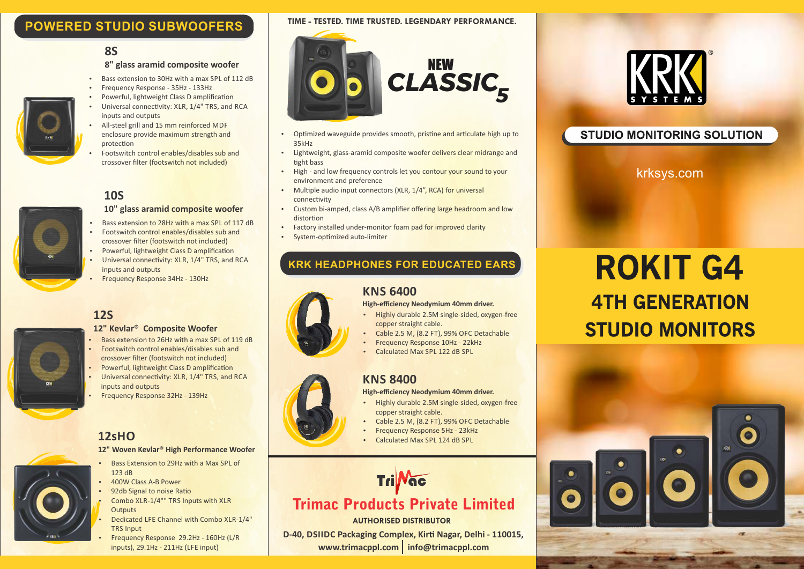## **POWERED STUDIO SUBWOOFERS**

## **8S**

### **8" glass aramid composite woofer**

- Bass extension to 30Hz with a max SPL of 112 dB
- Frequency Response 35Hz 133Hz
- Powerful, lightweight Class D amplification
- Universal connectivity: XLR, 1/4" TRS, and RCA inputs and outputs
- All-steel grill and 15 mm reinforced MDF enclosure provide maximum strength and protection
- Footswitch control enables/disables sub and crossover filter (footswitch not included)

## **10S**

#### **10" glass aramid composite woofer**

- Bass extension to 28Hz with a max SPL of 117 dB
- Footswitch control enables/disables sub and crossover filter (footswitch not included)
- Powerful, lightweight Class D amplification
- Universal connectivity: XLR, 1/4" TRS, and RCA inputs and outputs
- **Frequency Response 34Hz 130Hz**

## **12S**

### **12" Kevlar® Composite Woofer**

- Footswitch control enables/disables sub and • Bass extension to 26Hz with a max SPL of 119 dB
	- crossover filter (footswitch not included)
- Powerful, lightweight Class D amplification Universal connectivity: XLR, 1/4" TRS, and RCA inputs and outputs
- Frequency Response 32Hz 139Hz

## **12sHO**

#### **12" Woven Kevlar® High Performance Woofer**

- Bass Extension to 29Hz with a Max SPL of  $123$  dB
- 400W Class A-B Power
- 92db Signal to noise Ratio
- Combo XLR-1/4"" TRS Inputs with XLR **Outputs**
- Dedicated LFE Channel with Combo XLR-1/4" TRS Input
- Ÿ Frequency Response 29.2Hz 160Hz (L/R inputs), 29.1Hz - 211Hz (LFE input)

#### **TIME - TESTED. TIME TRUSTED. LEGENDARY PERFORMANCE.**



- Optimized waveguide provides smooth, pristine and articulate high up to 35kHz
- Lightweight, glass-aramid composite woofer delivers clear midrange and tight bass
- High and low frequency controls let you contour your sound to your environment and preference
- Multiple audio input connectors (XLR,  $1/4$ ", RCA) for universal connectivity
- Custom bi-amped, class A/B amplifier offering large headroom and low distortion
- Factory installed under-monitor foam pad for improved clarity
- System-optimized auto-limiter

## **KRK HEADPHONES FOR EDUCATED EARS**

### **KNS 6400**

#### **High-efficiency Neodymium 40mm driver.**

- $\cdot$  Highly durable 2.5M single-sided, oxygen-free copper straight cable.
- Cable 2.5 M, (8.2 FT), 99% OFC Detachable
- **Frequency Response 10Hz 22kHz**
- Calculated Max SPL 122 dB SPL

## **KNS 8400**

#### **High-efficiency Neodymium 40mm driver.**

- Highly durable 2.5M single-sided, oxygen-free copper straight cable.
- Cable 2.5 M, (8.2 FT), 99% OFC Detachable
- **Frequency Response 5Hz 23kHz**
- Calculated Max SPL 124 dB SPL



## Trimac Products Private Limited

#### **AUTHORISED DISTRIBUTOR**

www.trimacppl.com info@trimacppl.com **D-40, DSIIDC Packaging Complex, Kirti Nagar, Delhi - 110015,** 



## **STUDIO MONITORING SOLUTION**

krksys.com

# **ROKIT G4 4TH GENERATION STUDIO MONITORS**